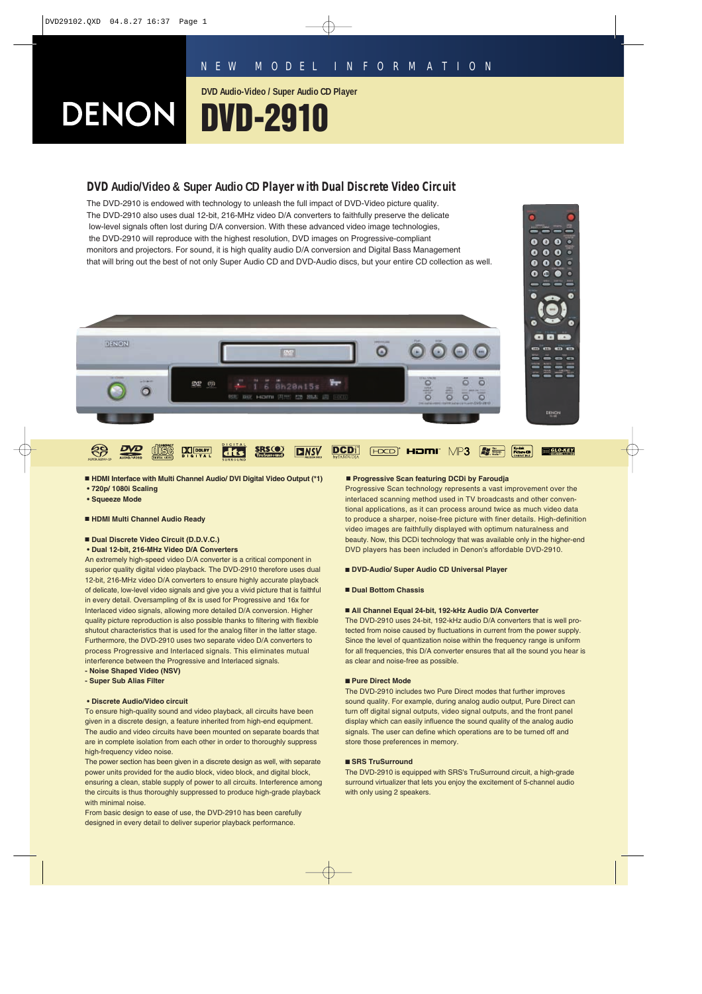**DVD Audio-Video / Super Audio CD Player**

# DENON

## **DVD Audio/Video & Super Audio CD Player with Dual Discrete Video Circuit**

**DVD-2910**

The DVD-2910 is endowed with technology to unleash the full impact of DVD-Video picture quality. The DVD-2910 also uses dual 12-bit, 216-MHz video D/A converters to faithfully preserve the delicate low-level signals often lost during D/A conversion. With these advanced video image technologies, the DVD-2910 will reproduce with the highest resolution, DVD images on Progressive-compliant monitors and projectors. For sound, it is high quality audio D/A conversion and Digital Bass Management that will bring out the best of not only Super Audio CD and DVD-Audio discs, but your entire CD collection as well.



- **HDMI Interface with Multi Channel Audio/ DVI Digital Video Output (\*1)**
- **720p/ 1080i Scaling**
- **Squeeze Mode**
- **HDMI Multi Channel Audio Ready**

#### ■ **Dual Discrete Video Circuit (D.D.V.C.)**

**• Dual 12-bit, 216-MHz Video D/A Converters**

An extremely high-speed video D/A converter is a critical component in superior quality digital video playback. The DVD-2910 therefore uses dual 12-bit, 216-MHz video D/A converters to ensure highly accurate playback of delicate, low-level video signals and give you a vivid picture that is faithful in every detail. Oversampling of 8x is used for Progressive and 16x for Interlaced video signals, allowing more detailed D/A conversion. Higher quality picture reproduction is also possible thanks to filtering with flexible shutout characteristics that is used for the analog filter in the latter stage. Furthermore, the DVD-2910 uses two separate video D/A converters to process Progressive and Interlaced signals. This eliminates mutual interference between the Progressive and Interlaced signals. **- Noise Shaped Video (NSV)**

**- Super Sub Alias Filter**

#### **• Discrete Audio/Video circuit**

To ensure high-quality sound and video playback, all circuits have been given in a discrete design, a feature inherited from high-end equipment. The audio and video circuits have been mounted on separate boards that are in complete isolation from each other in order to thoroughly suppress high-frequency video noise.

The power section has been given in a discrete design as well, with separate power units provided for the audio block, video block, and digital block, ensuring a clean, stable supply of power to all circuits. Interference among the circuits is thus thoroughly suppressed to produce high-grade playback with minimal noise.

From basic design to ease of use, the DVD-2910 has been carefully designed in every detail to deliver superior playback performance.

#### ■ **Progressive Scan featuring DCDi by Faroudja**

Progressive Scan technology represents a vast improvement over the interlaced scanning method used in TV broadcasts and other conventional applications, as it can process around twice as much video data to produce a sharper, noise-free picture with finer details. High-definition video images are faithfully displayed with optimum naturalness and beauty. Now, this DCDi technology that was available only in the higher-end DVD players has been included in Denon's affordable DVD-2910.

 $\bullet$  $00$  $\bullet$ 

 $\bullet$  $\bullet$  $\bullet$ o

 $0<sub>0</sub>$ 

#### ■ **DVD-Audio/ Super Audio CD Universal Player**

#### ■ **Dual Bottom Chassis**

#### ■ All Channel Equal 24-bit, 192-kHz Audio D/A Converter

The DVD-2910 uses 24-bit, 192-kHz audio D/A converters that is well protected from noise caused by fluctuations in current from the power supply. Since the level of quantization noise within the frequency range is uniform for all frequencies, this D/A converter ensures that all the sound you hear is as clear and noise-free as possible.

#### ■ **Pure Direct Mode**

The DVD-2910 includes two Pure Direct modes that further improves sound quality. For example, during analog audio output, Pure Direct can turn off digital signal outputs, video signal outputs, and the front panel display which can easily influence the sound quality of the analog audio signals. The user can define which operations are to be turned off and store those preferences in memory.

#### ■ **SRS TruSurround**

The DVD-2910 is equipped with SRS's TruSurround circuit, a high-grade surround virtualizer that lets you enjoy the excitement of 5-channel audio with only using 2 speakers.